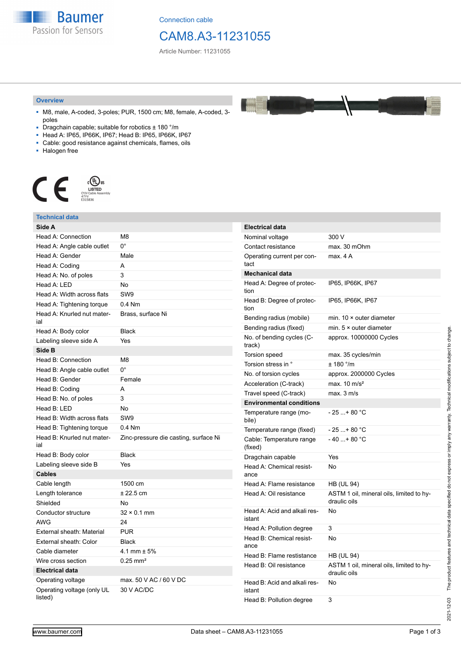**Baumer** Passion for Sensors

Connection cable

## CAM8.A3-11231055

Article Number: 11231055

#### **Overview**

- M8, male, A-coded, 3-poles; PUR, 1500 cm; M8, female, A-coded, 3 poles
- Dragchain capable; suitable for robotics  $\pm$  180 °/m
- Head A: IP65, IP66K, IP67; Head B: IP65, IP66K, IP67
- Cable: good resistance against chemicals, flames, oils
- Halogen free



#### **Technical data Side A** Head A: Connection M8 Head A: Angle cable outlet 0° Head A: Gender Male Head A: Coding A Head A: No. of poles 3 Head A: LED No. Head A: Width across flats SW9 Head A: Tightening torque 0.4 Nm Head A: Knurled nut material Brass, surface Ni Head A: Body color Black Labeling sleeve side A Yes **Side B** Head B: Connection M8 Head B: Angle cable outlet 0° Head B: Gender Female Head B: Coding **A** Head B: No. of poles 3 Head B: LED No Head B: Width across flats SW9 Head B: Tightening torque 0.4 Nm Head B: Knurled nut material Zinc-pressure die casting, surface Ni Head B: Body color Black Labeling sleeve side B Yes **Cables** Cable length 1500 cm Length tolerance  $\pm 22.5$  cm Shielded No Conductor structure 32 × 0.1 mm AWG 24 External sheath: Material PUR External sheath: Color Black Cable diameter 4.1 mm ± 5% Wire cross section 0.25 mm<sup>2</sup> **Electrical data** Operating voltage max. 50 V AC / 60 V DC Operating voltage (only UL listed) 30 V AC/DC **Electrical data** Nominal voltage 300 V Contact resistance max. 30 mOhm Operating current per contact max. 4 A **Mechanical data** Head A: Degree of protection IP65, IP66K, IP67 Head B: Degree of protection IP65, IP66K, IP67 Bending radius (mobile) min. 10 × outer diameter Bending radius (fixed) min. 5 × outer diameter No. of bending cycles (Ctrack) approx. 10000000 Cycles Torsion speed max. 35 cycles/min Torsion stress in °  $\pm$  180 °/m No. of torsion cycles approx. 2000000 Cycles Acceleration (C-track) max. 10 m/s<sup>2</sup> Travel speed (C-track) max. 3 m/s **Environmental conditions** Temperature range (mobile)  $-25 + 80 °C$ Temperature range (fixed)  $-25...+80$  °C Cable: Temperature range (fixed)  $-40...+80 °C$ Dragchain capable Yes Head A: Chemical resistance No Head A: Flame resistance HB (UL 94) Head A: Oil resistance ASTM 1 oil, mineral oils, limited to hydraulic oils Head A: Acid and alkali resistant No Head A: Pollution degree 3 Head B: Chemical resistance No Head B: Flame restistance HB (UL 94) Head B: Oil resistance ASTM 1 oil, mineral oils, limited to hydraulic oils Head B: Acid and alkali resistant No Head B: Pollution degree 3

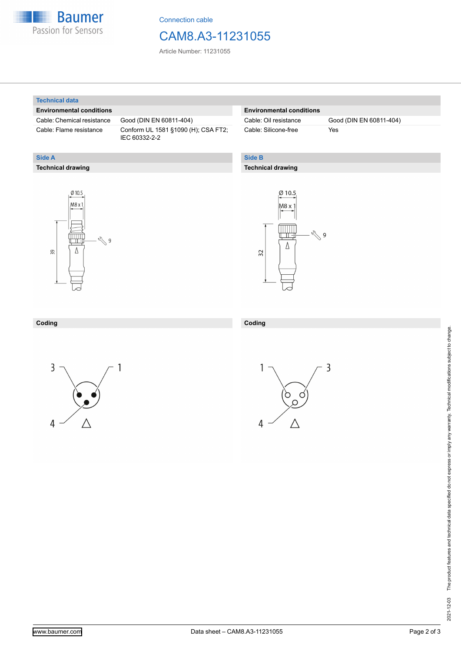

Connection cable

### CAM8.A3-11231055

Article Number: 11231055

#### **Technical data**

**Technical drawing**

**Side A**

#### **Environmental conditions**

Cable: Chemical resistance Good (DIN EN 60811-404)

Cable: Flame resistance Conform UL 1581 §1090 (H); CSA FT2; IEC 60332-2-2

### **Environmental conditions**

Cable: Silicone-free Yes

Cable: Oil resistance Good (DIN EN 60811-404)

### **Side B**

### **Technical drawing**





#### **Coding Coding**